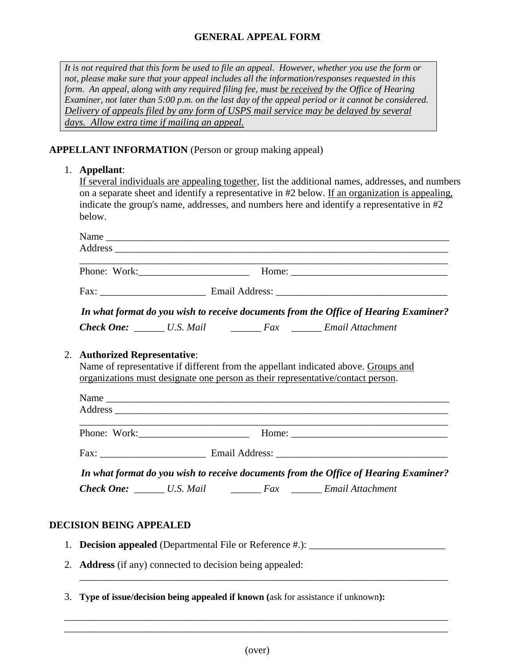## **GENERAL APPEAL FORM**

*It is not required that this form be used to file an appeal. However, whether you use the form or not, please make sure that your appeal includes all the information/responses requested in this form. An appeal, along with any required filing fee, must be received by the Office of Hearing Examiner, not later than 5:00 p.m. on the last day of the appeal period or it cannot be considered. Delivery of appeals filed by any form of USPS mail service may be delayed by several days. Allow extra time if mailing an appeal.*

#### **APPELLANT INFORMATION** (Person or group making appeal)

#### 1. **Appellant**:

If several individuals are appealing together, list the additional names, addresses, and numbers on a separate sheet and identify a representative in #2 below. If an organization is appealing, indicate the group's name, addresses, and numbers here and identify a representative in #2 below.

| Name         |                                                                                      |  |
|--------------|--------------------------------------------------------------------------------------|--|
|              |                                                                                      |  |
| Phone: Work: |                                                                                      |  |
|              |                                                                                      |  |
|              | In what format do you wish to receive documents from the Office of Hearing Examiner? |  |
|              |                                                                                      |  |

#### 2. **Authorized Representative**:

Name of representative if different from the appellant indicated above. Groups and organizations must designate one person as their representative/contact person.

| Name         |                                                                                      |
|--------------|--------------------------------------------------------------------------------------|
|              |                                                                                      |
|              |                                                                                      |
| Phone: Work: |                                                                                      |
|              |                                                                                      |
|              | In what format do you wish to receive documents from the Office of Hearing Examiner? |
|              |                                                                                      |

#### **DECISION BEING APPEALED**

- 1. **Decision appealed** (Departmental File or Reference #.): \_\_\_\_\_\_\_\_\_\_\_\_\_\_\_\_\_\_\_\_\_\_\_\_\_\_\_
- 2. **Address** (if any) connected to decision being appealed:
- 3. **Type of issue/decision being appealed if known (**ask for assistance if unknown**):**

\_\_\_\_\_\_\_\_\_\_\_\_\_\_\_\_\_\_\_\_\_\_\_\_\_\_\_\_\_\_\_\_\_\_\_\_\_\_\_\_\_\_\_\_\_\_\_\_\_\_\_\_\_\_\_\_\_\_\_\_\_\_\_\_\_\_\_\_\_\_\_\_\_\_\_\_ \_\_\_\_\_\_\_\_\_\_\_\_\_\_\_\_\_\_\_\_\_\_\_\_\_\_\_\_\_\_\_\_\_\_\_\_\_\_\_\_\_\_\_\_\_\_\_\_\_\_\_\_\_\_\_\_\_\_\_\_\_\_\_\_\_\_\_\_\_\_\_\_\_\_\_\_

\_\_\_\_\_\_\_\_\_\_\_\_\_\_\_\_\_\_\_\_\_\_\_\_\_\_\_\_\_\_\_\_\_\_\_\_\_\_\_\_\_\_\_\_\_\_\_\_\_\_\_\_\_\_\_\_\_\_\_\_\_\_\_\_\_\_\_\_\_\_\_\_\_